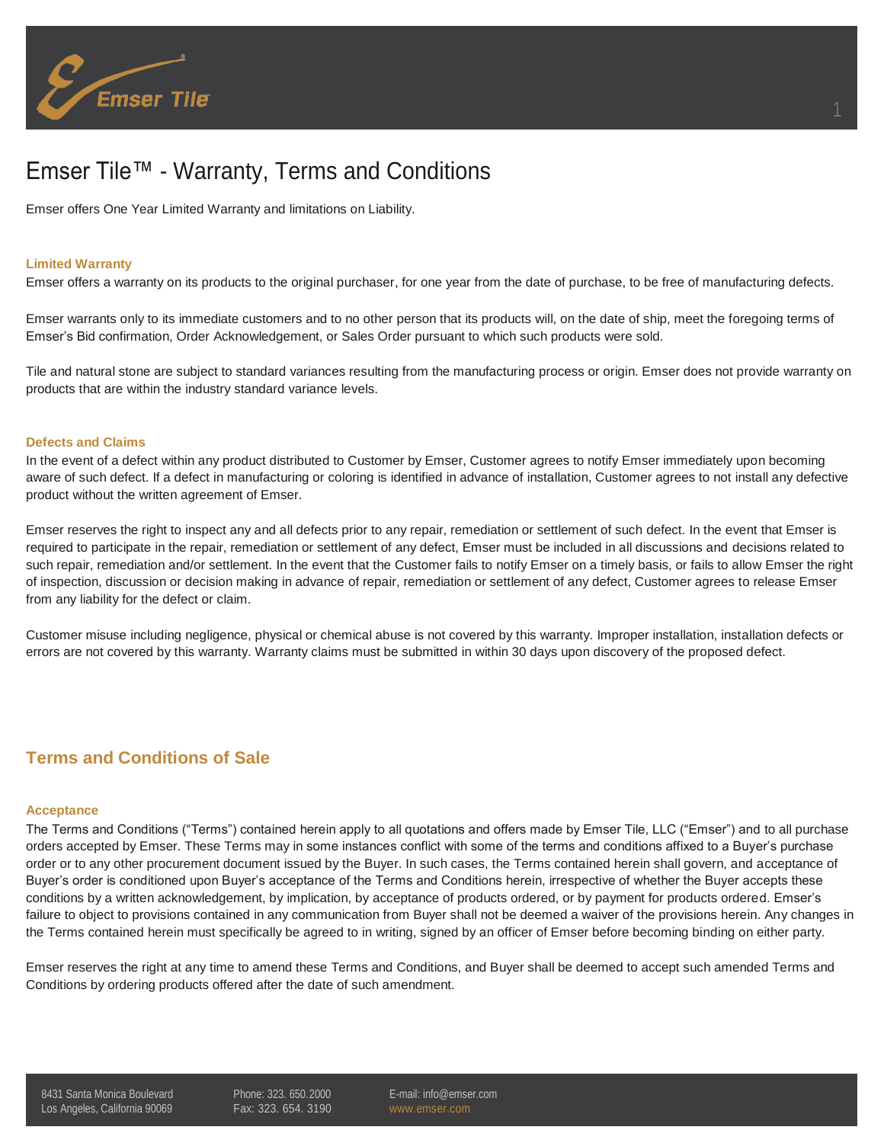

# Emser Tile™ - Warranty, Terms and Conditions

Emser offers One Year Limited Warranty and limitations on Liability.

#### **Limited Warranty**

Emser offers a warranty on its products to the original purchaser, for one year from the date of purchase, to be free of manufacturing defects.

Emser warrants only to its immediate customers and to no other person that its products will, on the date of ship, meet the foregoing terms of Emser's Bid confirmation, Order Acknowledgement, or Sales Order pursuant to which such products were sold.

Tile and natural stone are subject to standard variances resulting from the manufacturing process or origin. Emser does not provide warranty on products that are within the industry standard variance levels.

#### **Defects and Claims**

In the event of a defect within any product distributed to Customer by Emser, Customer agrees to notify Emser immediately upon becoming aware of such defect. If a defect in manufacturing or coloring is identified in advance of installation, Customer agrees to not install any defective product without the written agreement of Emser.

Emser reserves the right to inspect any and all defects prior to any repair, remediation or settlement of such defect. In the event that Emser is required to participate in the repair, remediation or settlement of any defect, Emser must be included in all discussions and decisions related to such repair, remediation and/or settlement. In the event that the Customer fails to notify Emser on a timely basis, or fails to allow Emser the right of inspection, discussion or decision making in advance of repair, remediation or settlement of any defect, Customer agrees to release Emser from any liability for the defect or claim.

Customer misuse including negligence, physical or chemical abuse is not covered by this warranty. Improper installation, installation defects or errors are not covered by this warranty. Warranty claims must be submitted in within 30 days upon discovery of the proposed defect.

# **Terms and Conditions of Sale**

#### **Acceptance**

The Terms and Conditions ("Terms") contained herein apply to all quotations and offers made by Emser Tile, LLC ("Emser") and to all purchase orders accepted by Emser. These Terms may in some instances conflict with some of the terms and conditions affixed to a Buyer's purchase order or to any other procurement document issued by the Buyer. In such cases, the Terms contained herein shall govern, and acceptance of Buyer's order is conditioned upon Buyer's acceptance of the Terms and Conditions herein, irrespective of whether the Buyer accepts these conditions by a written acknowledgement, by implication, by acceptance of products ordered, or by payment for products ordered. Emser's failure to object to provisions contained in any communication from Buyer shall not be deemed a waiver of the provisions herein. Any changes in the Terms contained herein must specifically be agreed to in writing, signed by an officer of Emser before becoming binding on either party.

Emser reserves the right at any time to amend these Terms and Conditions, and Buyer shall be deemed to accept such amended Terms and Conditions by ordering products offered after the date of such amendment.

8431 Santa Monica Boulevard Los Angeles, California 90069 Phone: 323. 650.2000 Fax: 323. 654. 3190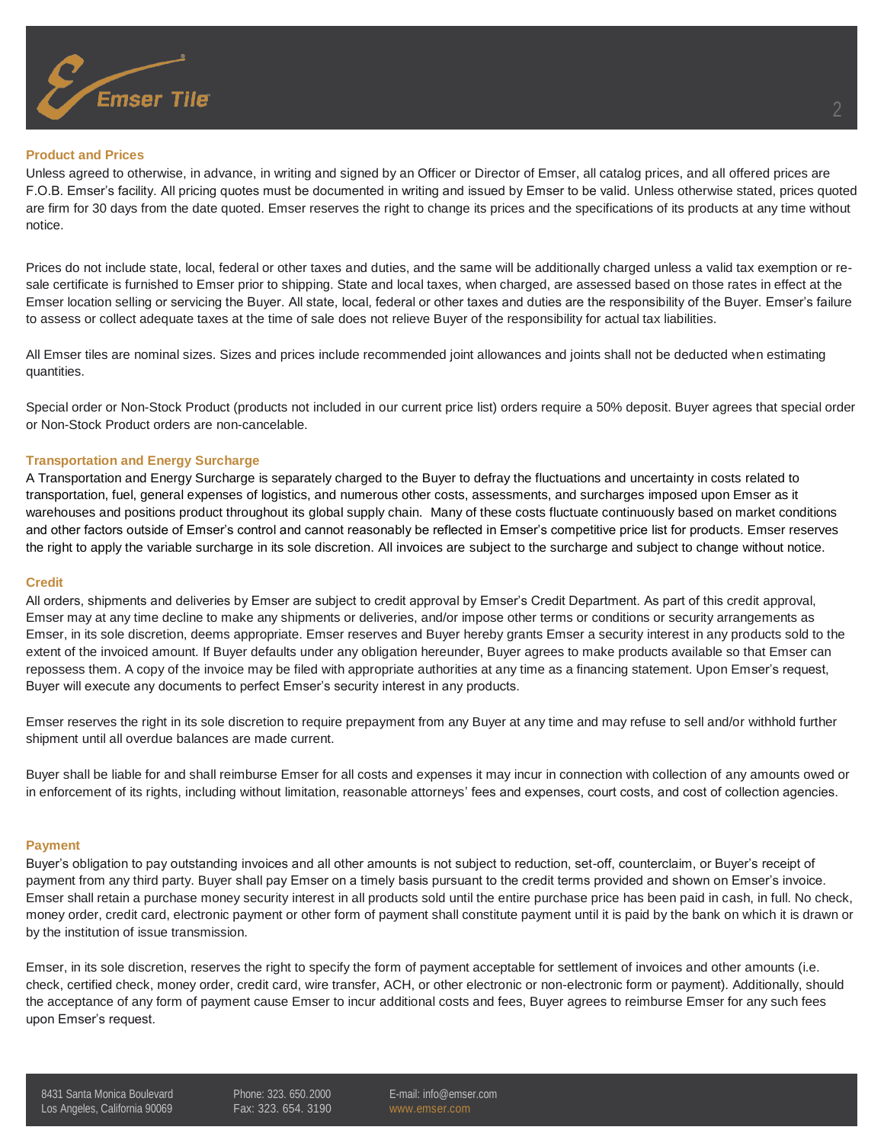

#### **Product and Prices**

Unless agreed to otherwise, in advance, in writing and signed by an Officer or Director of Emser, all catalog prices, and all offered prices are F.O.B. Emser's facility. All pricing quotes must be documented in writing and issued by Emser to be valid. Unless otherwise stated, prices quoted are firm for 30 days from the date quoted. Emser reserves the right to change its prices and the specifications of its products at any time without notice.

Prices do not include state, local, federal or other taxes and duties, and the same will be additionally charged unless a valid tax exemption or resale certificate is furnished to Emser prior to shipping. State and local taxes, when charged, are assessed based on those rates in effect at the Emser location selling or servicing the Buyer. All state, local, federal or other taxes and duties are the responsibility of the Buyer. Emser's failure to assess or collect adequate taxes at the time of sale does not relieve Buyer of the responsibility for actual tax liabilities.

All Emser tiles are nominal sizes. Sizes and prices include recommended joint allowances and joints shall not be deducted when estimating quantities.

Special order or Non-Stock Product (products not included in our current price list) orders require a 50% deposit. Buyer agrees that special order or Non-Stock Product orders are non-cancelable.

## **Transportation and Energy Surcharge**

A Transportation and Energy Surcharge is separately charged to the Buyer to defray the fluctuations and uncertainty in costs related to transportation, fuel, general expenses of logistics, and numerous other costs, assessments, and surcharges imposed upon Emser as it warehouses and positions product throughout its global supply chain. Many of these costs fluctuate continuously based on market conditions and other factors outside of Emser's control and cannot reasonably be reflected in Emser's competitive price list for products. Emser reserves the right to apply the variable surcharge in its sole discretion. All invoices are subject to the surcharge and subject to change without notice.

#### **Credit**

All orders, shipments and deliveries by Emser are subject to credit approval by Emser's Credit Department. As part of this credit approval, Emser may at any time decline to make any shipments or deliveries, and/or impose other terms or conditions or security arrangements as Emser, in its sole discretion, deems appropriate. Emser reserves and Buyer hereby grants Emser a security interest in any products sold to the extent of the invoiced amount. If Buyer defaults under any obligation hereunder, Buyer agrees to make products available so that Emser can repossess them. A copy of the invoice may be filed with appropriate authorities at any time as a financing statement. Upon Emser's request, Buyer will execute any documents to perfect Emser's security interest in any products.

Emser reserves the right in its sole discretion to require prepayment from any Buyer at any time and may refuse to sell and/or withhold further shipment until all overdue balances are made current.

Buyer shall be liable for and shall reimburse Emser for all costs and expenses it may incur in connection with collection of any amounts owed or in enforcement of its rights, including without limitation, reasonable attorneys' fees and expenses, court costs, and cost of collection agencies.

#### **Payment**

Buyer's obligation to pay outstanding invoices and all other amounts is not subject to reduction, set-off, counterclaim, or Buyer's receipt of payment from any third party. Buyer shall pay Emser on a timely basis pursuant to the credit terms provided and shown on Emser's invoice. Emser shall retain a purchase money security interest in all products sold until the entire purchase price has been paid in cash, in full. No check, money order, credit card, electronic payment or other form of payment shall constitute payment until it is paid by the bank on which it is drawn or by the institution of issue transmission.

Emser, in its sole discretion, reserves the right to specify the form of payment acceptable for settlement of invoices and other amounts (i.e. check, certified check, money order, credit card, wire transfer, ACH, or other electronic or non-electronic form or payment). Additionally, should the acceptance of any form of payment cause Emser to incur additional costs and fees, Buyer agrees to reimburse Emser for any such fees upon Emser's request.

8431 Santa Monica Boulevard Los Angeles, California 90069 Phone: 323. 650.2000 Fax: 323. 654. 3190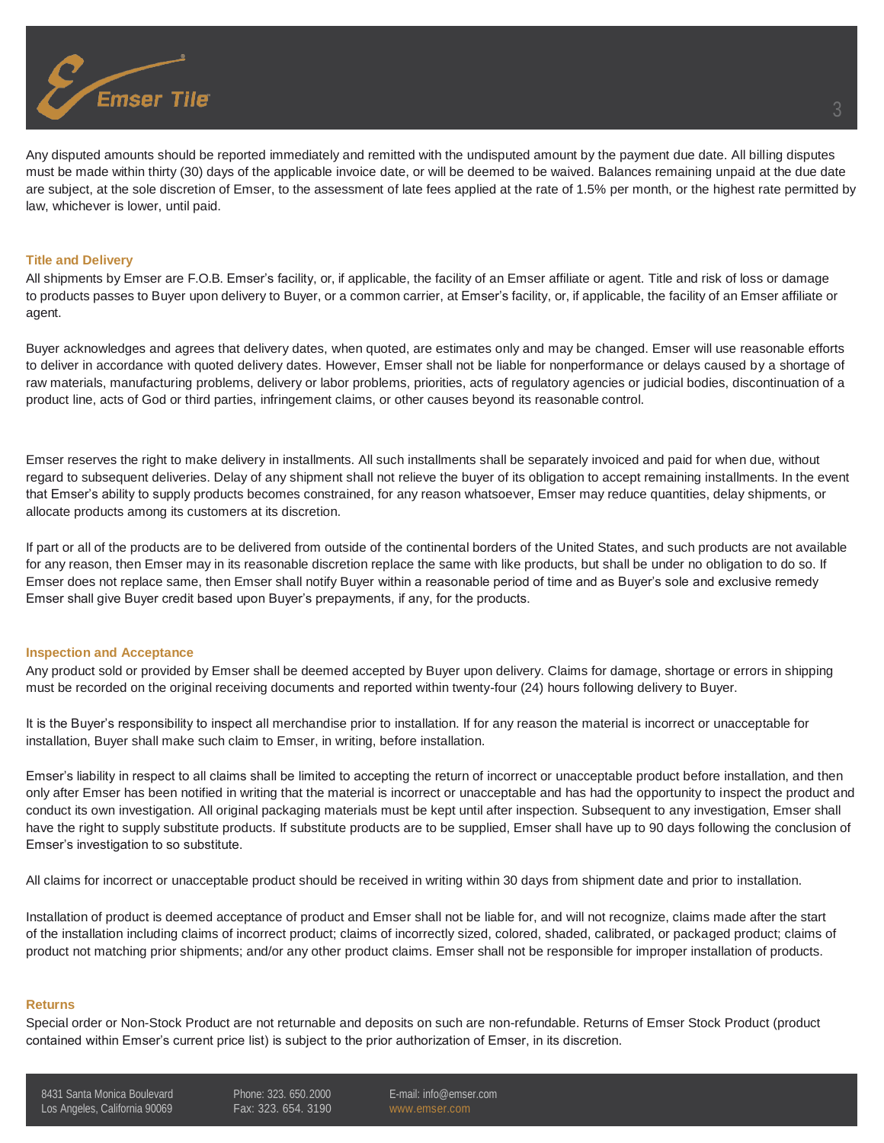

Any disputed amounts should be reported immediately and remitted with the undisputed amount by the payment due date. All billing disputes must be made within thirty (30) days of the applicable invoice date, or will be deemed to be waived. Balances remaining unpaid at the due date are subject, at the sole discretion of Emser, to the assessment of late fees applied at the rate of 1.5% per month, or the highest rate permitted by law, whichever is lower, until paid.

#### **Title and Delivery**

All shipments by Emser are F.O.B. Emser's facility, or, if applicable, the facility of an Emser affiliate or agent. Title and risk of loss or damage to products passes to Buyer upon delivery to Buyer, or a common carrier, at Emser's facility, or, if applicable, the facility of an Emser affiliate or agent.

Buyer acknowledges and agrees that delivery dates, when quoted, are estimates only and may be changed. Emser will use reasonable efforts to deliver in accordance with quoted delivery dates. However, Emser shall not be liable for nonperformance or delays caused by a shortage of raw materials, manufacturing problems, delivery or labor problems, priorities, acts of regulatory agencies or judicial bodies, discontinuation of a product line, acts of God or third parties, infringement claims, or other causes beyond its reasonable control.

Emser reserves the right to make delivery in installments. All such installments shall be separately invoiced and paid for when due, without regard to subsequent deliveries. Delay of any shipment shall not relieve the buyer of its obligation to accept remaining installments. In the event that Emser's ability to supply products becomes constrained, for any reason whatsoever, Emser may reduce quantities, delay shipments, or allocate products among its customers at its discretion.

If part or all of the products are to be delivered from outside of the continental borders of the United States, and such products are not available for any reason, then Emser may in its reasonable discretion replace the same with like products, but shall be under no obligation to do so. If Emser does not replace same, then Emser shall notify Buyer within a reasonable period of time and as Buyer's sole and exclusive remedy Emser shall give Buyer credit based upon Buyer's prepayments, if any, for the products.

#### **Inspection and Acceptance**

Any product sold or provided by Emser shall be deemed accepted by Buyer upon delivery. Claims for damage, shortage or errors in shipping must be recorded on the original receiving documents and reported within twenty-four (24) hours following delivery to Buyer.

It is the Buyer's responsibility to inspect all merchandise prior to installation. If for any reason the material is incorrect or unacceptable for installation, Buyer shall make such claim to Emser, in writing, before installation.

Emser's liability in respect to all claims shall be limited to accepting the return of incorrect or unacceptable product before installation, and then only after Emser has been notified in writing that the material is incorrect or unacceptable and has had the opportunity to inspect the product and conduct its own investigation. All original packaging materials must be kept until after inspection. Subsequent to any investigation, Emser shall have the right to supply substitute products. If substitute products are to be supplied, Emser shall have up to 90 days following the conclusion of Emser's investigation to so substitute.

All claims for incorrect or unacceptable product should be received in writing within 30 days from shipment date and prior to installation.

Installation of product is deemed acceptance of product and Emser shall not be liable for, and will not recognize, claims made after the start of the installation including claims of incorrect product; claims of incorrectly sized, colored, shaded, calibrated, or packaged product; claims of product not matching prior shipments; and/or any other product claims. Emser shall not be responsible for improper installation of products.

#### **Returns**

Special order or Non-Stock Product are not returnable and deposits on such are non-refundable. Returns of Emser Stock Product (product contained within Emser's current price list) is subject to the prior authorization of Emser, in its discretion.

3

8431 Santa Monica Boulevard Los Angeles, California 90069 Phone: 323. 650.2000 Fax: 323. 654. 3190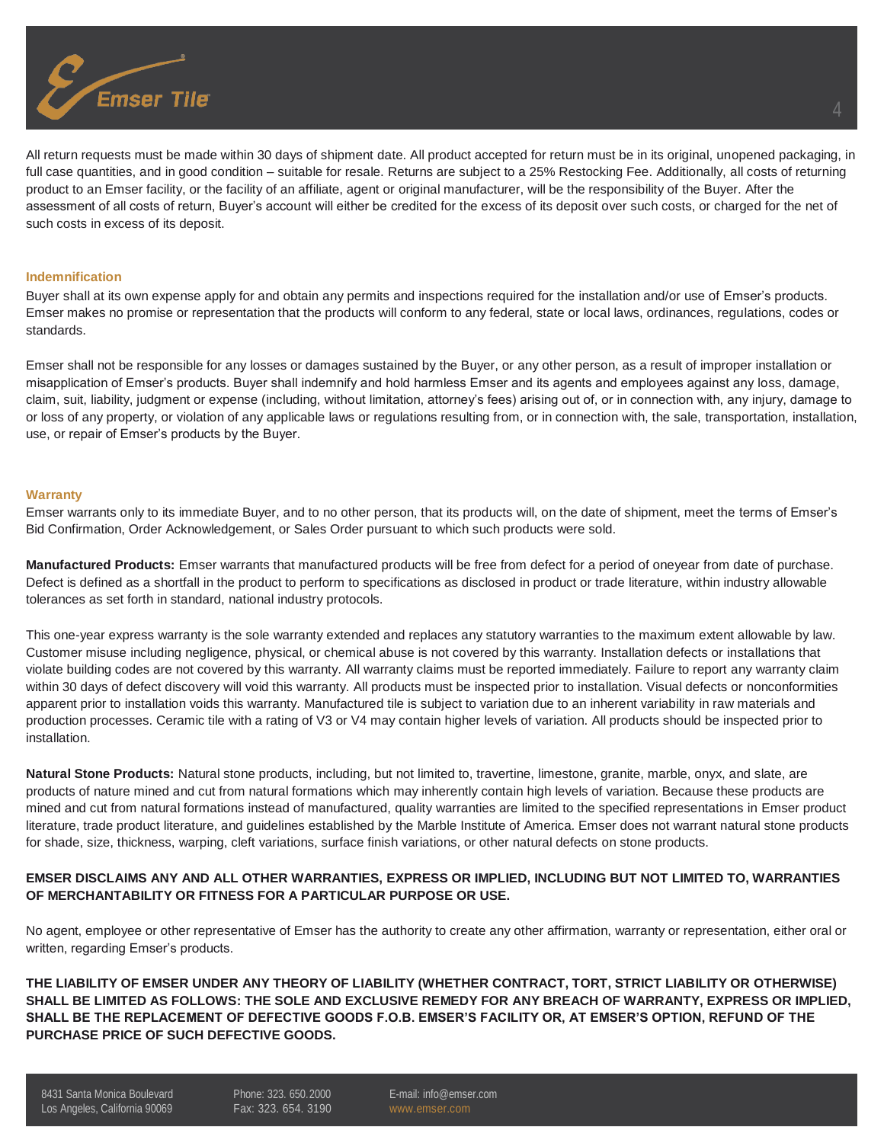

All return requests must be made within 30 days of shipment date. All product accepted for return must be in its original, unopened packaging, in full case quantities, and in good condition – suitable for resale. Returns are subject to a 25% Restocking Fee. Additionally, all costs of returning product to an Emser facility, or the facility of an affiliate, agent or original manufacturer, will be the responsibility of the Buyer. After the assessment of all costs of return, Buyer's account will either be credited for the excess of its deposit over such costs, or charged for the net of such costs in excess of its deposit.

#### **Indemnification**

Buyer shall at its own expense apply for and obtain any permits and inspections required for the installation and/or use of Emser's products. Emser makes no promise or representation that the products will conform to any federal, state or local laws, ordinances, regulations, codes or standards.

Emser shall not be responsible for any losses or damages sustained by the Buyer, or any other person, as a result of improper installation or misapplication of Emser's products. Buyer shall indemnify and hold harmless Emser and its agents and employees against any loss, damage, claim, suit, liability, judgment or expense (including, without limitation, attorney's fees) arising out of, or in connection with, any injury, damage to or loss of any property, or violation of any applicable laws or regulations resulting from, or in connection with, the sale, transportation, installation, use, or repair of Emser's products by the Buyer.

#### **Warranty**

Emser warrants only to its immediate Buyer, and to no other person, that its products will, on the date of shipment, meet the terms of Emser's Bid Confirmation, Order Acknowledgement, or Sales Order pursuant to which such products were sold.

**Manufactured Products:** Emser warrants that manufactured products will be free from defect for a period of oneyear from date of purchase. Defect is defined as a shortfall in the product to perform to specifications as disclosed in product or trade literature, within industry allowable tolerances as set forth in standard, national industry protocols.

This one-year express warranty is the sole warranty extended and replaces any statutory warranties to the maximum extent allowable by law. Customer misuse including negligence, physical, or chemical abuse is not covered by this warranty. Installation defects or installations that violate building codes are not covered by this warranty. All warranty claims must be reported immediately. Failure to report any warranty claim within 30 days of defect discovery will void this warranty. All products must be inspected prior to installation. Visual defects or nonconformities apparent prior to installation voids this warranty. Manufactured tile is subject to variation due to an inherent variability in raw materials and production processes. Ceramic tile with a rating of V3 or V4 may contain higher levels of variation. All products should be inspected prior to installation.

**Natural Stone Products:** Natural stone products, including, but not limited to, travertine, limestone, granite, marble, onyx, and slate, are products of nature mined and cut from natural formations which may inherently contain high levels of variation. Because these products are mined and cut from natural formations instead of manufactured, quality warranties are limited to the specified representations in Emser product literature, trade product literature, and guidelines established by the Marble Institute of America. Emser does not warrant natural stone products for shade, size, thickness, warping, cleft variations, surface finish variations, or other natural defects on stone products.

## **EMSER DISCLAIMS ANY AND ALL OTHER WARRANTIES, EXPRESS OR IMPLIED, INCLUDING BUT NOT LIMITED TO, WARRANTIES OF MERCHANTABILITY OR FITNESS FOR A PARTICULAR PURPOSE OR USE.**

No agent, employee or other representative of Emser has the authority to create any other affirmation, warranty or representation, either oral or written, regarding Emser's products.

**THE LIABILITY OF EMSER UNDER ANY THEORY OF LIABILITY (WHETHER CONTRACT, TORT, STRICT LIABILITY OR OTHERWISE) SHALL BE LIMITED AS FOLLOWS: THE SOLE AND EXCLUSIVE REMEDY FOR ANY BREACH OF WARRANTY, EXPRESS OR IMPLIED, SHALL BE THE REPLACEMENT OF DEFECTIVE GOODS F.O.B. EMSER'S FACILITY OR, AT EMSER'S OPTION, REFUND OF THE PURCHASE PRICE OF SUCH DEFECTIVE GOODS.**

8431 Santa Monica Boulevard Los Angeles, California 90069 Phone: 323. 650.2000 Fax: 323. 654. 3190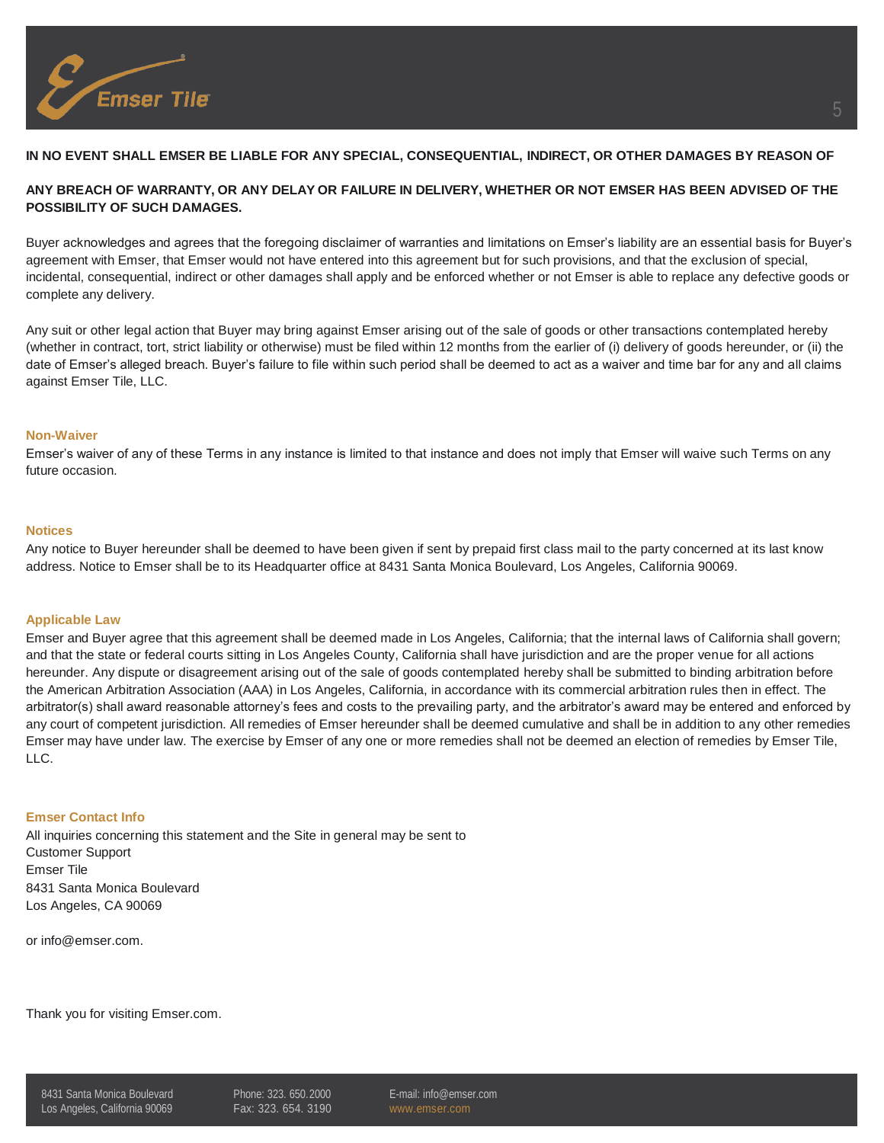

# **IN NO EVENT SHALL EMSER BE LIABLE FOR ANY SPECIAL, CONSEQUENTIAL, INDIRECT, OR OTHER DAMAGES BY REASON OF**

# **ANY BREACH OF WARRANTY, OR ANY DELAY OR FAILURE IN DELIVERY, WHETHER OR NOT EMSER HAS BEEN ADVISED OF THE POSSIBILITY OF SUCH DAMAGES.**

Buyer acknowledges and agrees that the foregoing disclaimer of warranties and limitations on Emser's liability are an essential basis for Buyer's agreement with Emser, that Emser would not have entered into this agreement but for such provisions, and that the exclusion of special, incidental, consequential, indirect or other damages shall apply and be enforced whether or not Emser is able to replace any defective goods or complete any delivery.

Any suit or other legal action that Buyer may bring against Emser arising out of the sale of goods or other transactions contemplated hereby (whether in contract, tort, strict liability or otherwise) must be filed within 12 months from the earlier of (i) delivery of goods hereunder, or (ii) the date of Emser's alleged breach. Buyer's failure to file within such period shall be deemed to act as a waiver and time bar for any and all claims against Emser Tile, LLC.

#### **Non-Waiver**

Emser's waiver of any of these Terms in any instance is limited to that instance and does not imply that Emser will waive such Terms on any future occasion.

#### **Notices**

Any notice to Buyer hereunder shall be deemed to have been given if sent by prepaid first class mail to the party concerned at its last know address. Notice to Emser shall be to its Headquarter office at 8431 Santa Monica Boulevard, Los Angeles, California 90069.

#### **Applicable Law**

Emser and Buyer agree that this agreement shall be deemed made in Los Angeles, California; that the internal laws of California shall govern; and that the state or federal courts sitting in Los Angeles County, California shall have jurisdiction and are the proper venue for all actions hereunder. Any dispute or disagreement arising out of the sale of goods contemplated hereby shall be submitted to binding arbitration before the American Arbitration Association (AAA) in Los Angeles, California, in accordance with its commercial arbitration rules then in effect. The arbitrator(s) shall award reasonable attorney's fees and costs to the prevailing party, and the arbitrator's award may be entered and enforced by any court of competent jurisdiction. All remedies of Emser hereunder shall be deemed cumulative and shall be in addition to any other remedies Emser may have under law. The exercise by Emser of any one or more remedies shall not be deemed an election of remedies by Emser Tile, LLC.

## **Emser Contact Info**

All inquiries concerning this statement and the Site in general may be sent to Customer Support Emser Tile 8431 Santa Monica Boulevard Los Angeles, CA 90069

or [info@emser.com.](mailto:info@emser.com)

Thank you for visiting Emser.com.